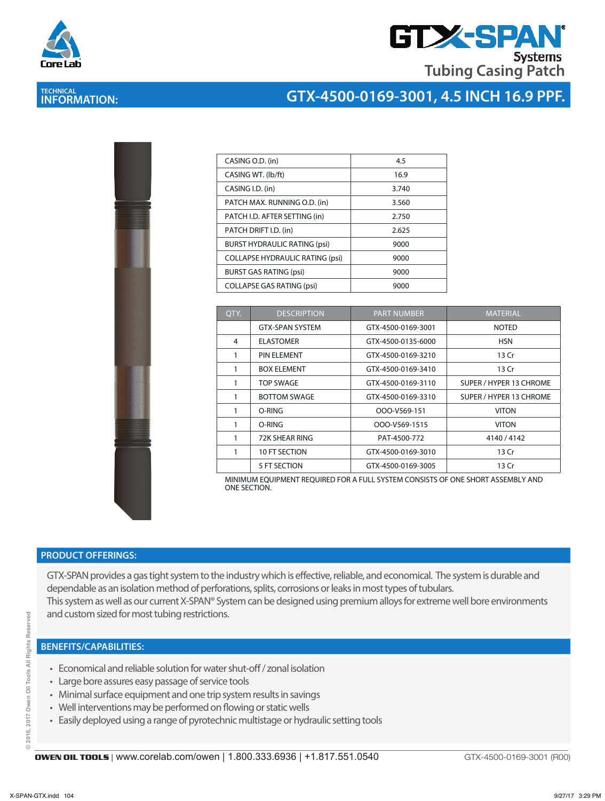

# **GTX-SPA Systems Tubing Casing Patch**

# **TECHNICAL INFORMATION:**

### **GTX-4500-0169-3001, 4.5 INCH 16.9 PPF.**

| I  |  |
|----|--|
| ì  |  |
|    |  |
| i, |  |
| i. |  |
|    |  |
|    |  |
|    |  |
|    |  |
|    |  |
|    |  |
|    |  |
|    |  |
|    |  |
|    |  |
|    |  |
|    |  |
|    |  |
|    |  |
|    |  |
|    |  |
|    |  |
|    |  |
|    |  |
|    |  |
|    |  |
|    |  |

| CASING O.D. (in)                       | 4.5   |
|----------------------------------------|-------|
| CASING WT. (lb/ft)                     | 16.9  |
| CASING I.D. (in)                       | 3.740 |
| PATCH MAX. RUNNING O.D. (in)           | 3.560 |
| PATCH I.D. AFTER SETTING (in)          | 2.750 |
| PATCH DRIFT I.D. (in)                  | 2.625 |
| <b>BURST HYDRAULIC RATING (psi)</b>    | 9000  |
| <b>COLLAPSE HYDRAULIC RATING (psi)</b> | 9000  |
| <b>BURST GAS RATING (psi)</b>          | 9000  |
| <b>COLLAPSE GAS RATING (psi)</b>       | 9000  |
|                                        |       |

| OTY. | <b>DESCRIPTION</b>     | <b>PART NUMBER</b> | <b>MATERIAL</b>         |  |
|------|------------------------|--------------------|-------------------------|--|
|      | <b>GTX-SPAN SYSTEM</b> | GTX-4500-0169-3001 | <b>NOTED</b>            |  |
| 4    | <b>ELASTOMER</b>       | GTX-4500-0135-6000 | <b>HSN</b>              |  |
| 1    | <b>PIN ELEMENT</b>     | GTX-4500-0169-3210 | 13 Cr                   |  |
| 1    | <b>BOX ELEMENT</b>     | GTX-4500-0169-3410 | 13 Cr                   |  |
| 1    | <b>TOP SWAGE</b>       | GTX-4500-0169-3110 | SUPER / HYPER 13 CHROME |  |
| 1    | <b>BOTTOM SWAGE</b>    | GTX-4500-0169-3310 | SUPER / HYPER 13 CHROME |  |
| 1    | O-RING                 | OOO-V569-151       | <b>VITON</b>            |  |
| 1    | O-RING                 | OOO-V569-1515      | <b>VITON</b>            |  |
| 1    | 72K SHEAR RING         | PAT-4500-772       | 4140 / 4142             |  |
| 1    | 10 FT SECTION          | GTX-4500-0169-3010 | 13 Cr                   |  |
|      | 5 FT SECTION           | GTX-4500-0169-3005 | 13 Cr                   |  |

MINIMUM EQUIPMENT REQUIRED FOR A FULL SYSTEM CONSISTS OF ONE SHORT ASSEMBLY AND ONE SECTION.

#### **PRODUCT OFFERINGS:**

GTX-SPAN provides a gas tight system to the industry which is effective, reliable, and economical. The system is durable and dependable as an isolation method of perforations, splits, corrosions or leaks in most types of tubulars. This system as well as our current X-SPAN® System can be designed using premium alloys for extreme well bore environments and custom sized for most tubing restrictions.

#### **BENEFITS/CAPABILITIES:**

- Economical and reliable solution for water shut-off / zonal isolation
- Large bore assures easy passage of service tools
- Minimal surface equipment and one trip system results in savings
- Well interventions may be performed on flowing or static wells
- Easily deployed using a range of pyrotechnic multistage or hydraulic setting tools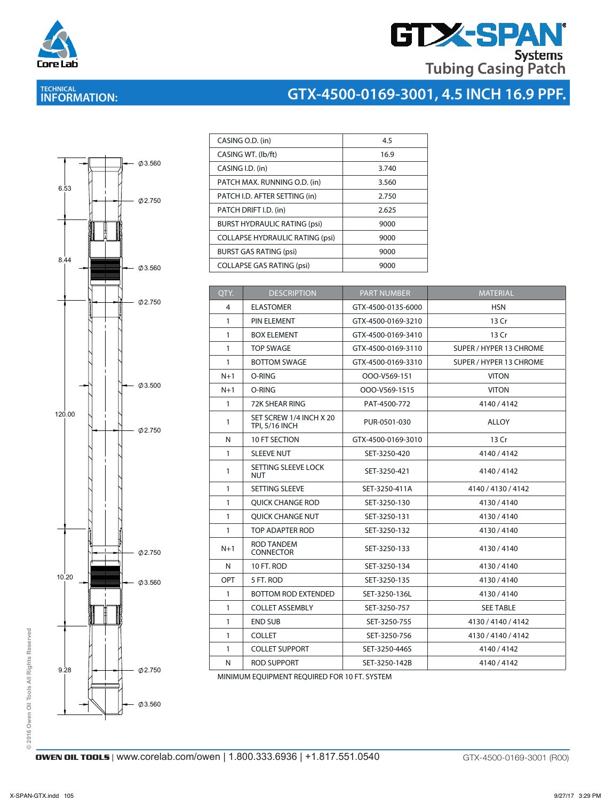

# **GTX-SPAN Tubing Casing Patch**

# **TECHNICAL INFORMATION:**

# **GTX-4500-0169-3001, 4.5 INCH 16.9 PPF.**



| CASING O.D. (in)                       | 4.5   |
|----------------------------------------|-------|
| CASING WT. (lb/ft)                     | 16.9  |
| CASING I.D. (in)                       | 3.740 |
| PATCH MAX. RUNNING O.D. (in)           | 3.560 |
| PATCH I.D. AFTER SETTING (in)          | 2.750 |
| PATCH DRIFT I.D. (in)                  | 2.625 |
| <b>BURST HYDRAULIC RATING (psi)</b>    | 9000  |
| <b>COLLAPSE HYDRAULIC RATING (psi)</b> | 9000  |
| <b>BURST GAS RATING (psi)</b>          | 9000  |
| <b>COLLAPSE GAS RATING (psi)</b>       | 9000  |

| QTY.         | <b>DESCRIPTION</b>                               | <b>PART NUMBER</b> | <b>MATERIAL</b>         |
|--------------|--------------------------------------------------|--------------------|-------------------------|
| 4            | <b>ELASTOMER</b>                                 | GTX-4500-0135-6000 | <b>HSN</b>              |
| $\mathbf{1}$ | PIN ELEMENT                                      | GTX-4500-0169-3210 | 13 Cr                   |
| 1            | <b>BOX ELEMENT</b>                               | GTX-4500-0169-3410 | 13 Cr                   |
| 1            | <b>TOP SWAGE</b>                                 | GTX-4500-0169-3110 | SUPER / HYPER 13 CHROME |
| $\mathbf{1}$ | <b>BOTTOM SWAGE</b>                              | GTX-4500-0169-3310 | SUPER / HYPER 13 CHROME |
| $N+1$        | O-RING                                           | OOO-V569-151       | <b>VITON</b>            |
| $N+1$        | O-RING                                           | OOO-V569-1515      | <b>VITON</b>            |
| $\mathbf{1}$ | 72K SHEAR RING                                   | PAT-4500-772       | 4140 / 4142             |
| 1            | SET SCREW 1/4 INCH X 20<br><b>TPI, 5/16 INCH</b> | PUR-0501-030       | <b>ALLOY</b>            |
| N            | 10 FT SECTION                                    | GTX-4500-0169-3010 | 13 Cr                   |
| 1            | <b>SLEEVE NUT</b>                                | SET-3250-420       | 4140/4142               |
| $\mathbf{1}$ | SETTING SLEEVE LOCK<br>NUT                       | SET-3250-421       | 4140 / 4142             |
| 1            | <b>SETTING SLEEVE</b>                            | SET-3250-411A      | 4140 / 4130 / 4142      |
| 1            | <b>OUICK CHANGE ROD</b>                          | SET-3250-130       | 4130/4140               |
| $\mathbf{1}$ | <b>OUICK CHANGE NUT</b>                          | SET-3250-131       | 4130/4140               |
| $\mathbf{1}$ | TOP ADAPTER ROD                                  | SET-3250-132       | 4130/4140               |
| $N+1$        | <b>ROD TANDEM</b><br><b>CONNECTOR</b>            | SET-3250-133       | 4130/4140               |
| N            | 10 FT. ROD                                       | SET-3250-134       | 4130/4140               |
| <b>OPT</b>   | 5 FT. ROD                                        | SET-3250-135       | 4130/4140               |
| $\mathbf{1}$ | <b>BOTTOM ROD EXTENDED</b>                       | SET-3250-136L      | 4130/4140               |
| 1            | <b>COLLET ASSEMBLY</b>                           | SET-3250-757       | <b>SEE TABLE</b>        |
| $\mathbf{1}$ | <b>END SUB</b>                                   | SET-3250-755       | 4130 / 4140 / 4142      |
| 1            | <b>COLLET</b>                                    | SET-3250-756       | 4130 / 4140 / 4142      |
| 1            | <b>COLLET SUPPORT</b>                            | SET-3250-446S      | 4140 / 4142             |
| N            | <b>ROD SUPPORT</b>                               | SET-3250-142B      | 4140 / 4142             |
|              |                                                  |                    |                         |

MINIMUM EQUIPMENT REQUIRED FOR 10 FT. SYSTEM

**© 2016 Owen Oil Tools All Rights Reserved**

© 2016 Owen Oil Tools All Rights Reserved